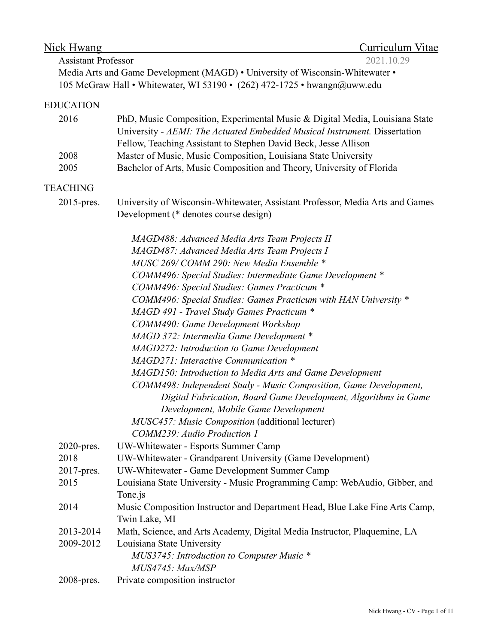| Curriculum Vitae<br>Nick Hwang |                                                                                                                                                          |
|--------------------------------|----------------------------------------------------------------------------------------------------------------------------------------------------------|
| <b>Assistant Professor</b>     | 2021.10.29                                                                                                                                               |
|                                | Media Arts and Game Development (MAGD) . University of Wisconsin-Whitewater .                                                                            |
|                                | 105 McGraw Hall • Whitewater, WI 53190 • (262) 472-1725 • hwangn@uww.edu                                                                                 |
| <b>EDUCATION</b>               |                                                                                                                                                          |
| 2016                           | PhD, Music Composition, Experimental Music & Digital Media, Louisiana State<br>University - AEMI: The Actuated Embedded Musical Instrument. Dissertation |
|                                | Fellow, Teaching Assistant to Stephen David Beck, Jesse Allison                                                                                          |
| 2008                           | Master of Music, Music Composition, Louisiana State University                                                                                           |
| 2005                           | Bachelor of Arts, Music Composition and Theory, University of Florida                                                                                    |
| <b>TEACHING</b>                |                                                                                                                                                          |
| 2015-pres.                     | University of Wisconsin-Whitewater, Assistant Professor, Media Arts and Games<br>Development (* denotes course design)                                   |
|                                | MAGD488: Advanced Media Arts Team Projects II                                                                                                            |
|                                | MAGD487: Advanced Media Arts Team Projects I                                                                                                             |
|                                | MUSC 269/COMM 290: New Media Ensemble *                                                                                                                  |
|                                | COMM496: Special Studies: Intermediate Game Development *                                                                                                |
|                                | COMM496: Special Studies: Games Practicum *                                                                                                              |
|                                | COMM496: Special Studies: Games Practicum with HAN University *                                                                                          |
|                                | MAGD 491 - Travel Study Games Practicum *                                                                                                                |
|                                | <b>COMM490: Game Development Workshop</b>                                                                                                                |
|                                | MAGD 372: Intermedia Game Development *                                                                                                                  |
|                                | MAGD272: Introduction to Game Development                                                                                                                |
|                                | MAGD271: Interactive Communication *                                                                                                                     |
|                                | MAGD150: Introduction to Media Arts and Game Development                                                                                                 |
|                                | COMM498: Independent Study - Music Composition, Game Development,                                                                                        |
|                                | Digital Fabrication, Board Game Development, Algorithms in Game<br>Development, Mobile Game Development                                                  |
|                                | MUSC457: Music Composition (additional lecturer)                                                                                                         |
|                                | COMM239: Audio Production 1                                                                                                                              |
| $2020$ -pres.                  | UW-Whitewater - Esports Summer Camp                                                                                                                      |
| 2018                           | UW-Whitewater - Grandparent University (Game Development)                                                                                                |
| 2017-pres.                     | UW-Whitewater - Game Development Summer Camp                                                                                                             |
| 2015                           | Louisiana State University - Music Programming Camp: WebAudio, Gibber, and                                                                               |
|                                | Tone.js                                                                                                                                                  |
| 2014                           | Music Composition Instructor and Department Head, Blue Lake Fine Arts Camp,                                                                              |
|                                | Twin Lake, MI                                                                                                                                            |
| 2013-2014                      | Math, Science, and Arts Academy, Digital Media Instructor, Plaquemine, LA                                                                                |
| 2009-2012                      | Louisiana State University                                                                                                                               |
|                                | MUS3745: Introduction to Computer Music *                                                                                                                |
|                                | MUS4745: Max/MSP                                                                                                                                         |
| 2008-pres.                     | Private composition instructor                                                                                                                           |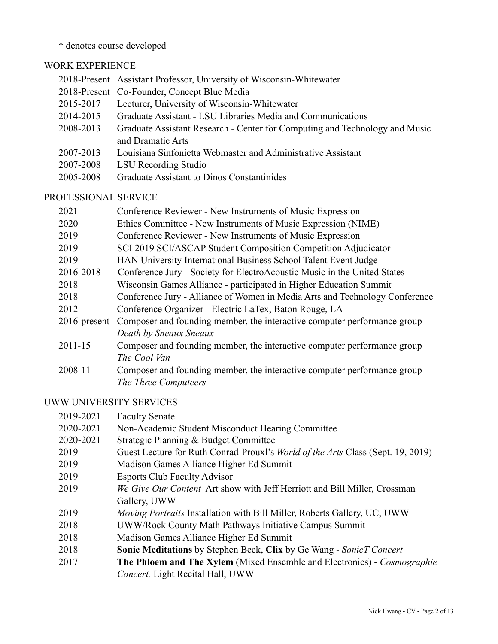\* denotes course developed

## WORK EXPERIENCE

|           | 2018-Present Assistant Professor, University of Wisconsin-Whitewater        |
|-----------|-----------------------------------------------------------------------------|
|           | 2018-Present Co-Founder, Concept Blue Media                                 |
| 2015-2017 | Lecturer, University of Wisconsin-Whitewater                                |
| 2014-2015 | Graduate Assistant - LSU Libraries Media and Communications                 |
| 2008-2013 | Graduate Assistant Research - Center for Computing and Technology and Music |
|           | and Dramatic Arts                                                           |
| 2007-2013 | Louisiana Sinfonietta Webmaster and Administrative Assistant                |
| 2007-2008 | LSU Recording Studio                                                        |
| 2005-2008 | Graduate Assistant to Dinos Constantinides                                  |

## PROFESSIONAL SERVICE

| 2021            | Conference Reviewer - New Instruments of Music Expression                   |
|-----------------|-----------------------------------------------------------------------------|
| 2020            | Ethics Committee - New Instruments of Music Expression (NIME)               |
| 2019            | Conference Reviewer - New Instruments of Music Expression                   |
| 2019            | SCI 2019 SCI/ASCAP Student Composition Competition Adjudicator              |
| 2019            | HAN University International Business School Talent Event Judge             |
| 2016-2018       | Conference Jury - Society for ElectroAcoustic Music in the United States    |
| 2018            | Wisconsin Games Alliance - participated in Higher Education Summit          |
| 2018            | Conference Jury - Alliance of Women in Media Arts and Technology Conference |
| 2012            | Conference Organizer - Electric LaTex, Baton Rouge, LA                      |
| $2016$ -present | Composer and founding member, the interactive computer performance group    |
|                 | Death by Sneaux Sneaux                                                      |
| $2011 - 15$     | Composer and founding member, the interactive computer performance group    |
|                 | The Cool Van                                                                |
| 2008-11         | Composer and founding member, the interactive computer performance group    |
|                 | The Three Computeers                                                        |

## UWW UNIVERSITY SERVICES

| 2019-2021 | <b>Faculty Senate</b>                                                                   |
|-----------|-----------------------------------------------------------------------------------------|
| 2020-2021 | Non-Academic Student Misconduct Hearing Committee                                       |
| 2020-2021 | Strategic Planning & Budget Committee                                                   |
| 2019      | Guest Lecture for Ruth Conrad-Prouxl's <i>World of the Arts</i> Class (Sept. 19, 2019)  |
| 2019      | Madison Games Alliance Higher Ed Summit                                                 |
| 2019      | <b>Esports Club Faculty Advisor</b>                                                     |
| 2019      | We Give Our Content Art show with Jeff Herriott and Bill Miller, Crossman               |
|           | Gallery, UWW                                                                            |
| 2019      | <i>Moving Portraits</i> Installation with Bill Miller, Roberts Gallery, UC, UWW         |
| 2018      | UWW/Rock County Math Pathways Initiative Campus Summit                                  |
| 2018      | Madison Games Alliance Higher Ed Summit                                                 |
| 2018      | <b>Sonic Meditations</b> by Stephen Beck, Clix by Ge Wang - SonicT Concert              |
| 2017      | <b>The Philoem and The Xylem</b> (Mixed Ensemble and Electronics) - <i>Cosmographie</i> |
|           | Concert, Light Recital Hall, UWW                                                        |
|           |                                                                                         |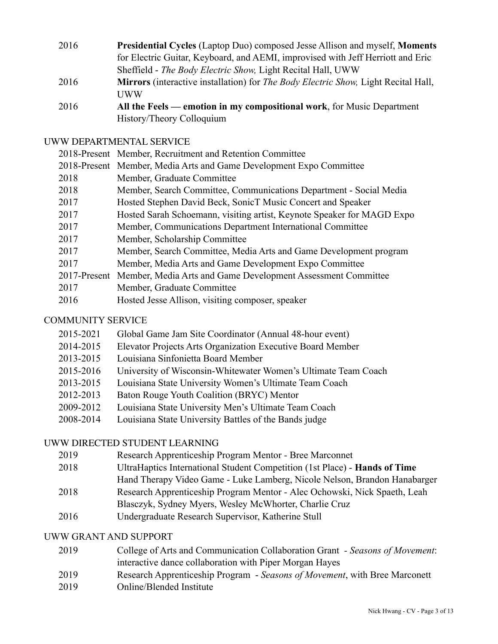| 2016 | Presidential Cycles (Laptop Duo) composed Jesse Allison and myself, Moments        |
|------|------------------------------------------------------------------------------------|
|      | for Electric Guitar, Keyboard, and AEMI, improvised with Jeff Herriott and Eric    |
|      | Sheffield - The Body Electric Show, Light Recital Hall, UWW                        |
| 2016 | Mirrors (interactive installation) for The Body Electric Show, Light Recital Hall, |
|      | <b>I</b> IWW                                                                       |
| 2016 | All the Feels — emotion in my compositional work, for Music Department             |
|      | History/Theory Colloquium                                                          |

### UWW DEPARTMENTAL SERVICE

|      | 2018-Present Member, Recruitment and Retention Committee                  |
|------|---------------------------------------------------------------------------|
|      | 2018-Present Member, Media Arts and Game Development Expo Committee       |
| 2018 | Member, Graduate Committee                                                |
| 2018 | Member, Search Committee, Communications Department - Social Media        |
| 2017 | Hosted Stephen David Beck, SonicT Music Concert and Speaker               |
| 2017 | Hosted Sarah Schoemann, visiting artist, Keynote Speaker for MAGD Expo    |
| 2017 | Member, Communications Department International Committee                 |
| 2017 | Member, Scholarship Committee                                             |
| 2017 | Member, Search Committee, Media Arts and Game Development program         |
| 2017 | Member, Media Arts and Game Development Expo Committee                    |
|      | 2017-Present Member, Media Arts and Game Development Assessment Committee |
| 2017 | Member, Graduate Committee                                                |
| 2016 | Hosted Jesse Allison, visiting composer, speaker                          |

## COMMUNITY SERVICE

- 2015-2021 Global Game Jam Site Coordinator (Annual 48-hour event)
- 2014-2015 Elevator Projects Arts Organization Executive Board Member
- 2013-2015 Louisiana Sinfonietta Board Member
- 2015-2016 University of Wisconsin-Whitewater Women's Ultimate Team Coach
- 2013-2015 Louisiana State University Women's Ultimate Team Coach
- 2012-2013 Baton Rouge Youth Coalition (BRYC) Mentor
- 2009-2012 Louisiana State University Men's Ultimate Team Coach
- 2008-2014 Louisiana State University Battles of the Bands judge

## UWW DIRECTED STUDENT LEARNING

- 2019 Research Apprenticeship Program Mentor Bree Marconnet
- 2018 UltraHaptics International Student Competition (1st Place) **Hands of Time**
- Hand Therapy Video Game Luke Lamberg, Nicole Nelson, Brandon Hanabarger
- 2018 Research Apprenticeship Program Mentor Alec Ochowski, Nick Spaeth, Leah
	- Blasczyk, Sydney Myers, Wesley McWhorter, Charlie Cruz
- 2016 Undergraduate Research Supervisor, Katherine Stull

# UWW GRANT AND SUPPORT

- 2019 College of Arts and Communication Collaboration Grant  *Seasons of Movement*: interactive dance collaboration with Piper Morgan Hayes
- 2019 Research Apprenticeship Program *Seasons of Movement*, with Bree Marconett
- 2019 Online/Blended Institute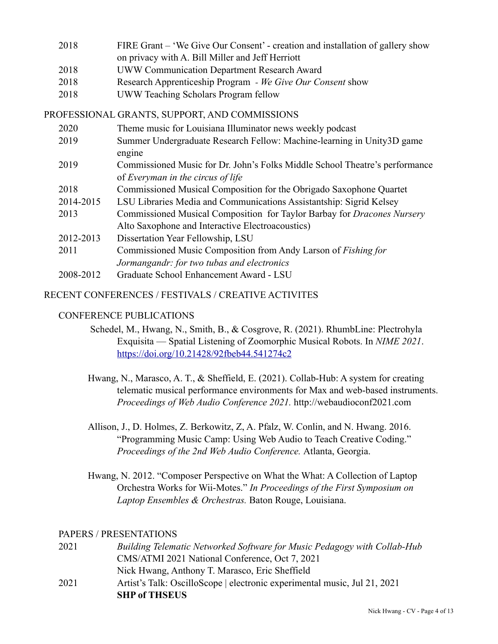| 2018 | FIRE Grant – 'We Give Our Consent' - creation and installation of gallery show |
|------|--------------------------------------------------------------------------------|
|      | on privacy with A. Bill Miller and Jeff Herriott                               |
| 2018 | <b>UWW Communication Department Research Award</b>                             |
| 2018 | Research Apprenticeship Program - We Give Our Consent show                     |
| 2018 | UWW Teaching Scholars Program fellow                                           |

### PROFESSIONAL GRANTS, SUPPORT, AND COMMISSIONS

| 2020      | Theme music for Louisiana Illuminator news weekly podcast                      |
|-----------|--------------------------------------------------------------------------------|
| 2019      | Summer Undergraduate Research Fellow: Machine-learning in Unity3D game         |
|           | engine                                                                         |
| 2019      | Commissioned Music for Dr. John's Folks Middle School Theatre's performance    |
|           | of Everyman in the circus of life                                              |
| 2018      | Commissioned Musical Composition for the Obrigado Saxophone Quartet            |
| 2014-2015 | LSU Libraries Media and Communications Assistantship: Sigrid Kelsey            |
| 2013      | Commissioned Musical Composition for Taylor Barbay for <i>Dracones Nursery</i> |
|           | Alto Saxophone and Interactive Electroacoustics)                               |
| 2012-2013 | Dissertation Year Fellowship, LSU                                              |
| 2011      | Commissioned Music Composition from Andy Larson of Fishing for                 |
|           | Jormangandr: for two tubas and electronics                                     |
| 2008-2012 | Graduate School Enhancement Award - LSU                                        |

#### RECENT CONFERENCES / FESTIVALS / CREATIVE ACTIVITES

#### CONFERENCE PUBLICATIONS

- Schedel, M., Hwang, N., Smith, B., & Cosgrove, R. (2021). RhumbLine: Plectrohyla Exquisita — Spatial Listening of Zoomorphic Musical Robots. In *NIME 2021*. <https://doi.org/10.21428/92fbeb44.541274c2>
- Hwang, N., Marasco, A. T., & Sheffield, E. (2021). Collab-Hub: A system for creating telematic musical performance environments for Max and web-based instruments. *Proceedings of Web Audio Conference 2021.* http://webaudioconf2021.com
- Allison, J., D. Holmes, Z. Berkowitz, Z, A. Pfalz, W. Conlin, and N. Hwang. 2016. "Programming Music Camp: Using Web Audio to Teach Creative Coding." *Proceedings of the 2nd Web Audio Conference.* Atlanta, Georgia.
- Hwang, N. 2012. "Composer Perspective on What the What: A Collection of Laptop Orchestra Works for Wii-Motes." *In Proceedings of the First Symposium on Laptop Ensembles & Orchestras.* Baton Rouge, Louisiana.

#### PAPERS / PRESENTATIONS

2021 *Building Telematic Networked Software for Music Pedagogy with Collab-Hub*  CMS/ATMI 2021 National Conference, Oct 7, 2021 Nick Hwang, Anthony T. Marasco, Eric Sheffield 2021 Artist's Talk: OscilloScope | electronic experimental music, Jul 21, 2021 **SHP of THSEUS**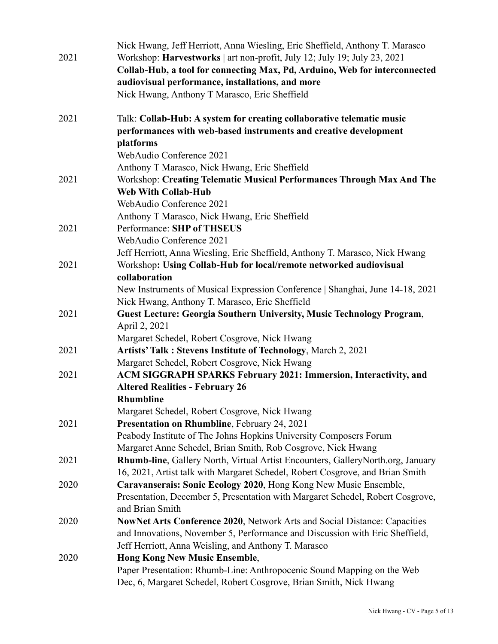|      | Nick Hwang, Jeff Herriott, Anna Wiesling, Eric Sheffield, Anthony T. Marasco                                                      |
|------|-----------------------------------------------------------------------------------------------------------------------------------|
| 2021 | Workshop: Harvestworks   art non-profit, July 12; July 19; July 23, 2021                                                          |
|      | Collab-Hub, a tool for connecting Max, Pd, Arduino, Web for interconnected                                                        |
|      | audiovisual performance, installations, and more                                                                                  |
|      | Nick Hwang, Anthony T Marasco, Eric Sheffield                                                                                     |
| 2021 | Talk: Collab-Hub: A system for creating collaborative telematic music                                                             |
|      | performances with web-based instruments and creative development                                                                  |
|      | platforms                                                                                                                         |
|      | WebAudio Conference 2021                                                                                                          |
|      | Anthony T Marasco, Nick Hwang, Eric Sheffield                                                                                     |
| 2021 | Workshop: Creating Telematic Musical Performances Through Max And The                                                             |
|      | <b>Web With Collab-Hub</b>                                                                                                        |
|      | WebAudio Conference 2021                                                                                                          |
|      | Anthony T Marasco, Nick Hwang, Eric Sheffield                                                                                     |
| 2021 | Performance: SHP of THSEUS                                                                                                        |
|      | WebAudio Conference 2021                                                                                                          |
|      | Jeff Herriott, Anna Wiesling, Eric Sheffield, Anthony T. Marasco, Nick Hwang                                                      |
| 2021 | Workshop: Using Collab-Hub for local/remote networked audiovisual                                                                 |
|      | collaboration                                                                                                                     |
|      | New Instruments of Musical Expression Conference   Shanghai, June 14-18, 2021                                                     |
|      | Nick Hwang, Anthony T. Marasco, Eric Sheffield                                                                                    |
| 2021 | <b>Guest Lecture: Georgia Southern University, Music Technology Program,</b>                                                      |
|      | April 2, 2021                                                                                                                     |
|      | Margaret Schedel, Robert Cosgrove, Nick Hwang                                                                                     |
| 2021 | <b>Artists' Talk: Stevens Institute of Technology, March 2, 2021</b>                                                              |
|      | Margaret Schedel, Robert Cosgrove, Nick Hwang                                                                                     |
| 2021 | ACM SIGGRAPH SPARKS February 2021: Immersion, Interactivity, and                                                                  |
|      | <b>Altered Realities - February 26</b>                                                                                            |
|      | <b>Rhumbline</b>                                                                                                                  |
|      | Margaret Schedel, Robert Cosgrove, Nick Hwang                                                                                     |
| 2021 | <b>Presentation on Rhumbline, February 24, 2021</b>                                                                               |
|      | Peabody Institute of The Johns Hopkins University Composers Forum<br>Margaret Anne Schedel, Brian Smith, Rob Cosgrove, Nick Hwang |
| 2021 | Rhumb-line, Gallery North, Virtual Artist Encounters, Gallery North.org, January                                                  |
|      | 16, 2021, Artist talk with Margaret Schedel, Robert Cosgrove, and Brian Smith                                                     |
| 2020 | Caravanserais: Sonic Ecology 2020, Hong Kong New Music Ensemble,                                                                  |
|      | Presentation, December 5, Presentation with Margaret Schedel, Robert Cosgrove,                                                    |
|      | and Brian Smith                                                                                                                   |
| 2020 | NowNet Arts Conference 2020, Network Arts and Social Distance: Capacities                                                         |
|      | and Innovations, November 5, Performance and Discussion with Eric Sheffield,                                                      |
|      | Jeff Herriott, Anna Weisling, and Anthony T. Marasco                                                                              |
| 2020 | <b>Hong Kong New Music Ensemble,</b>                                                                                              |
|      | Paper Presentation: Rhumb-Line: Anthropocenic Sound Mapping on the Web                                                            |
|      | Dec, 6, Margaret Schedel, Robert Cosgrove, Brian Smith, Nick Hwang                                                                |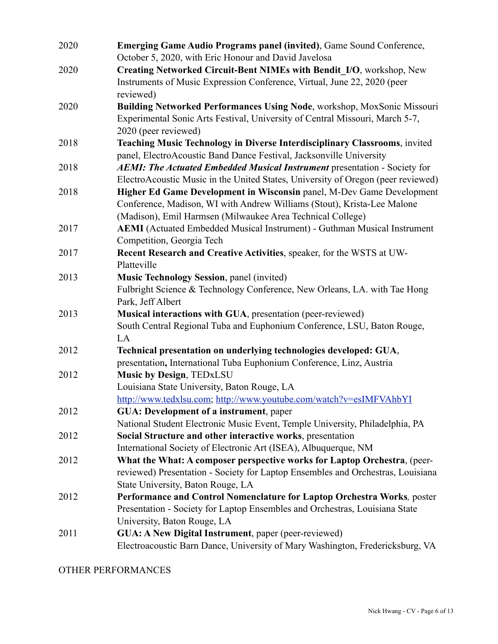| 2020 | Emerging Game Audio Programs panel (invited), Game Sound Conference,<br>October 5, 2020, with Eric Honour and David Javelosa                                                                                   |
|------|----------------------------------------------------------------------------------------------------------------------------------------------------------------------------------------------------------------|
| 2020 | Creating Networked Circuit-Bent NIMEs with Bendit_I/O, workshop, New                                                                                                                                           |
|      | Instruments of Music Expression Conference, Virtual, June 22, 2020 (peer<br>reviewed)                                                                                                                          |
| 2020 | Building Networked Performances Using Node, workshop, MoxSonic Missouri<br>Experimental Sonic Arts Festival, University of Central Missouri, March 5-7,<br>2020 (peer reviewed)                                |
| 2018 | Teaching Music Technology in Diverse Interdisciplinary Classrooms, invited<br>panel, ElectroAcoustic Band Dance Festival, Jacksonville University                                                              |
| 2018 | <b>AEMI: The Actuated Embedded Musical Instrument presentation - Society for</b><br>ElectroAcoustic Music in the United States, University of Oregon (peer reviewed)                                           |
| 2018 | Higher Ed Game Development in Wisconsin panel, M-Dev Game Development<br>Conference, Madison, WI with Andrew Williams (Stout), Krista-Lee Malone<br>(Madison), Emil Harmsen (Milwaukee Area Technical College) |
| 2017 | <b>AEMI</b> (Actuated Embedded Musical Instrument) - Guthman Musical Instrument<br>Competition, Georgia Tech                                                                                                   |
| 2017 | Recent Research and Creative Activities, speaker, for the WSTS at UW-<br>Platteville                                                                                                                           |
| 2013 | Music Technology Session, panel (invited)<br>Fulbright Science & Technology Conference, New Orleans, LA. with Tae Hong<br>Park, Jeff Albert                                                                    |
| 2013 | Musical interactions with GUA, presentation (peer-reviewed)<br>South Central Regional Tuba and Euphonium Conference, LSU, Baton Rouge,<br>LA                                                                   |
| 2012 | Technical presentation on underlying technologies developed: GUA,<br>presentation, International Tuba Euphonium Conference, Linz, Austria                                                                      |
| 2012 | <b>Music by Design, TEDxLSU</b><br>Louisiana State University, Baton Rouge, LA<br>http://www.tedxlsu.com; http://www.youtube.com/watch?v=esIMFVAhbYI                                                           |
| 2012 | <b>GUA</b> : Development of a instrument, paper<br>National Student Electronic Music Event, Temple University, Philadelphia, PA                                                                                |
| 2012 | Social Structure and other interactive works, presentation<br>International Society of Electronic Art (ISEA), Albuquerque, NM                                                                                  |
| 2012 | What the What: A composer perspective works for Laptop Orchestra, (peer-<br>reviewed) Presentation - Society for Laptop Ensembles and Orchestras, Louisiana<br>State University, Baton Rouge, LA               |
| 2012 | Performance and Control Nomenclature for Laptop Orchestra Works, poster<br>Presentation - Society for Laptop Ensembles and Orchestras, Louisiana State<br>University, Baton Rouge, LA                          |
| 2011 | <b>GUA: A New Digital Instrument</b> , paper (peer-reviewed)<br>Electroacoustic Barn Dance, University of Mary Washington, Fredericksburg, VA                                                                  |

OTHER PERFORMANCES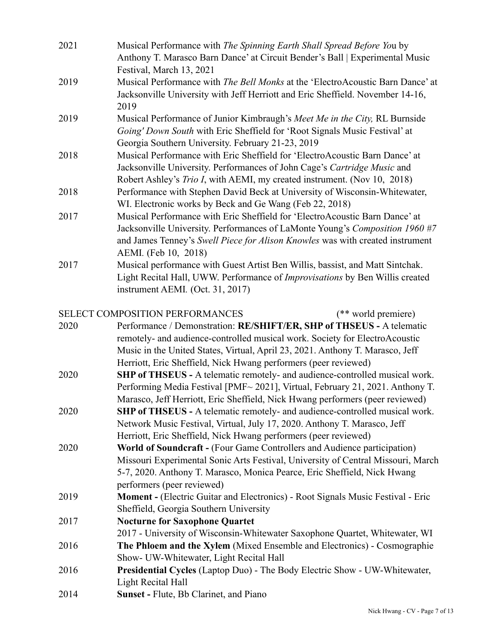| 2021 | Musical Performance with The Spinning Earth Shall Spread Before You by<br>Anthony T. Marasco Barn Dance' at Circuit Bender's Ball   Experimental Music<br>Festival, March 13, 2021                                                                                                                       |
|------|----------------------------------------------------------------------------------------------------------------------------------------------------------------------------------------------------------------------------------------------------------------------------------------------------------|
| 2019 | Musical Performance with The Bell Monks at the 'ElectroAcoustic Barn Dance' at<br>Jacksonville University with Jeff Herriott and Eric Sheffield. November 14-16,<br>2019                                                                                                                                 |
| 2019 | Musical Performance of Junior Kimbraugh's Meet Me in the City, RL Burnside<br>Going' Down South with Eric Sheffield for 'Root Signals Music Festival' at<br>Georgia Southern University. February 21-23, 2019                                                                                            |
| 2018 | Musical Performance with Eric Sheffield for 'ElectroAcoustic Barn Dance' at<br>Jacksonville University. Performances of John Cage's Cartridge Music and<br>Robert Ashley's Trio I, with AEMI, my created instrument. (Nov 10, 2018)                                                                      |
| 2018 | Performance with Stephen David Beck at University of Wisconsin-Whitewater,<br>WI. Electronic works by Beck and Ge Wang (Feb 22, 2018)                                                                                                                                                                    |
| 2017 | Musical Performance with Eric Sheffield for 'ElectroAcoustic Barn Dance' at<br>Jacksonville University. Performances of LaMonte Young's Composition 1960 #7<br>and James Tenney's Swell Piece for Alison Knowles was with created instrument<br>AEMI. (Feb 10, 2018)                                     |
| 2017 | Musical performance with Guest Artist Ben Willis, bassist, and Matt Sintchak.<br>Light Recital Hall, UWW. Performance of Improvisations by Ben Willis created<br>instrument AEMI. (Oct. 31, 2017)                                                                                                        |
|      | SELECT COMPOSITION PERFORMANCES<br>(** world premiere)                                                                                                                                                                                                                                                   |
| 2020 | Performance / Demonstration: RE/SHIFT/ER, SHP of THSEUS - A telematic<br>remotely- and audience-controlled musical work. Society for ElectroAcoustic<br>Music in the United States, Virtual, April 23, 2021. Anthony T. Marasco, Jeff<br>Herriott, Eric Sheffield, Nick Hwang performers (peer reviewed) |
| 2020 | SHP of THSEUS - A telematic remotely- and audience-controlled musical work.<br>Performing Media Festival [PMF~2021], Virtual, February 21, 2021. Anthony T.<br>Marasco, Jeff Herriott, Eric Sheffield, Nick Hwang performers (peer reviewed)                                                             |
| 2020 | <b>SHP of THSEUS</b> - A telematic remotely- and audience-controlled musical work.<br>Network Music Festival, Virtual, July 17, 2020. Anthony T. Marasco, Jeff<br>Herriott, Eric Sheffield, Nick Hwang performers (peer reviewed)                                                                        |
| 2020 | World of Soundcraft - (Four Game Controllers and Audience participation)<br>Missouri Experimental Sonic Arts Festival, University of Central Missouri, March<br>5-7, 2020. Anthony T. Marasco, Monica Pearce, Eric Sheffield, Nick Hwang<br>performers (peer reviewed)                                   |
| 2019 | <b>Moment - (Electric Guitar and Electronics) - Root Signals Music Festival - Eric</b><br>Sheffield, Georgia Southern University                                                                                                                                                                         |
| 2017 | <b>Nocturne for Saxophone Quartet</b><br>2017 - University of Wisconsin-Whitewater Saxophone Quartet, Whitewater, WI                                                                                                                                                                                     |
| 2016 | The Phloem and the Xylem (Mixed Ensemble and Electronics) - Cosmographie<br>Show- UW-Whitewater, Light Recital Hall                                                                                                                                                                                      |
| 2016 | <b>Presidential Cycles (Laptop Duo) - The Body Electric Show - UW-Whitewater,</b><br>Light Recital Hall                                                                                                                                                                                                  |
| 2014 | Sunset - Flute, Bb Clarinet, and Piano                                                                                                                                                                                                                                                                   |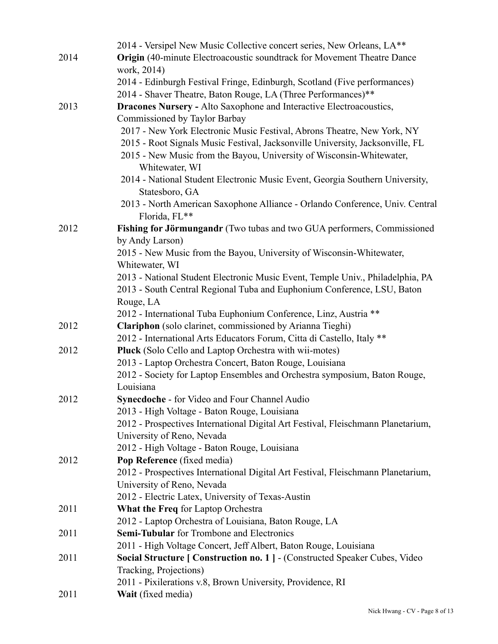|      | 2014 - Versipel New Music Collective concert series, New Orleans, LA**                 |
|------|----------------------------------------------------------------------------------------|
| 2014 | <b>Origin</b> (40-minute Electroacoustic soundtrack for Movement Theatre Dance         |
|      | work, 2014)                                                                            |
|      | 2014 - Edinburgh Festival Fringe, Edinburgh, Scotland (Five performances)              |
|      | 2014 - Shaver Theatre, Baton Rouge, LA (Three Performances)**                          |
| 2013 | <b>Dracones Nursery - Alto Saxophone and Interactive Electroacoustics,</b>             |
|      | Commissioned by Taylor Barbay                                                          |
|      | 2017 - New York Electronic Music Festival, Abrons Theatre, New York, NY                |
|      | 2015 - Root Signals Music Festival, Jacksonville University, Jacksonville, FL          |
|      | 2015 - New Music from the Bayou, University of Wisconsin-Whitewater,                   |
|      | Whitewater, WI                                                                         |
|      | 2014 - National Student Electronic Music Event, Georgia Southern University,           |
|      | Statesboro, GA                                                                         |
|      | 2013 - North American Saxophone Alliance - Orlando Conference, Univ. Central           |
|      | Florida, FL**                                                                          |
| 2012 | Fishing for Jörmungandr (Two tubas and two GUA performers, Commissioned                |
|      | by Andy Larson)                                                                        |
|      | 2015 - New Music from the Bayou, University of Wisconsin-Whitewater,                   |
|      | Whitewater, WI                                                                         |
|      | 2013 - National Student Electronic Music Event, Temple Univ., Philadelphia, PA         |
|      | 2013 - South Central Regional Tuba and Euphonium Conference, LSU, Baton                |
|      | Rouge, LA                                                                              |
|      | 2012 - International Tuba Euphonium Conference, Linz, Austria **                       |
| 2012 | Clariphon (solo clarinet, commissioned by Arianna Tieghi)                              |
|      | 2012 - International Arts Educators Forum, Citta di Castello, Italy **                 |
| 2012 | <b>Pluck</b> (Solo Cello and Laptop Orchestra with wii-motes)                          |
|      | 2013 - Laptop Orchestra Concert, Baton Rouge, Louisiana                                |
|      | 2012 - Society for Laptop Ensembles and Orchestra symposium, Baton Rouge,<br>Louisiana |
| 2012 | <b>Synecdoche - for Video and Four Channel Audio</b>                                   |
|      | 2013 - High Voltage - Baton Rouge, Louisiana                                           |
|      | 2012 - Prospectives International Digital Art Festival, Fleischmann Planetarium,       |
|      | University of Reno, Nevada                                                             |
|      | 2012 - High Voltage - Baton Rouge, Louisiana                                           |
| 2012 | Pop Reference (fixed media)                                                            |
|      | 2012 - Prospectives International Digital Art Festival, Fleischmann Planetarium,       |
|      | University of Reno, Nevada                                                             |
|      | 2012 - Electric Latex, University of Texas-Austin                                      |
| 2011 | <b>What the Freq for Laptop Orchestra</b>                                              |
|      | 2012 - Laptop Orchestra of Louisiana, Baton Rouge, LA                                  |
| 2011 | <b>Semi-Tubular</b> for Trombone and Electronics                                       |
|      | 2011 - High Voltage Concert, Jeff Albert, Baton Rouge, Louisiana                       |
| 2011 | <b>Social Structure   Construction no. 1   - (Constructed Speaker Cubes, Video</b>     |
|      | Tracking, Projections)                                                                 |
|      | 2011 - Pixilerations v.8, Brown University, Providence, RI                             |
| 2011 | Wait (fixed media)                                                                     |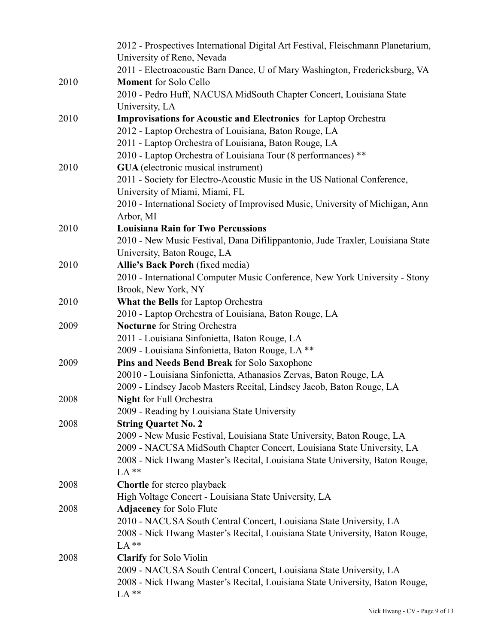|      | 2012 - Prospectives International Digital Art Festival, Fleischmann Planetarium,<br>University of Reno, Nevada                                      |
|------|-----------------------------------------------------------------------------------------------------------------------------------------------------|
|      | 2011 - Electroacoustic Barn Dance, U of Mary Washington, Fredericksburg, VA                                                                         |
| 2010 | <b>Moment</b> for Solo Cello                                                                                                                        |
|      | 2010 - Pedro Huff, NACUSA MidSouth Chapter Concert, Louisiana State                                                                                 |
|      | University, LA                                                                                                                                      |
| 2010 | Improvisations for Acoustic and Electronics for Laptop Orchestra                                                                                    |
|      | 2012 - Laptop Orchestra of Louisiana, Baton Rouge, LA                                                                                               |
|      | 2011 - Laptop Orchestra of Louisiana, Baton Rouge, LA                                                                                               |
|      | 2010 - Laptop Orchestra of Louisiana Tour (8 performances) **                                                                                       |
| 2010 | <b>GUA</b> (electronic musical instrument)                                                                                                          |
|      | 2011 - Society for Electro-Acoustic Music in the US National Conference,                                                                            |
|      | University of Miami, Miami, FL                                                                                                                      |
|      | 2010 - International Society of Improvised Music, University of Michigan, Ann                                                                       |
|      | Arbor, MI                                                                                                                                           |
| 2010 | <b>Louisiana Rain for Two Percussions</b>                                                                                                           |
|      | 2010 - New Music Festival, Dana Difilippantonio, Jude Traxler, Louisiana State<br>University, Baton Rouge, LA                                       |
| 2010 | Allie's Back Porch (fixed media)                                                                                                                    |
|      | 2010 - International Computer Music Conference, New York University - Stony                                                                         |
|      | Brook, New York, NY                                                                                                                                 |
| 2010 | What the Bells for Laptop Orchestra                                                                                                                 |
|      | 2010 - Laptop Orchestra of Louisiana, Baton Rouge, LA                                                                                               |
| 2009 | Nocturne for String Orchestra                                                                                                                       |
|      | 2011 - Louisiana Sinfonietta, Baton Rouge, LA                                                                                                       |
|      | 2009 - Louisiana Sinfonietta, Baton Rouge, LA **                                                                                                    |
| 2009 | Pins and Needs Bend Break for Solo Saxophone                                                                                                        |
|      | 20010 - Louisiana Sinfonietta, Athanasios Zervas, Baton Rouge, LA                                                                                   |
|      | 2009 - Lindsey Jacob Masters Recital, Lindsey Jacob, Baton Rouge, LA                                                                                |
| 2008 | <b>Night</b> for Full Orchestra                                                                                                                     |
|      | 2009 - Reading by Louisiana State University                                                                                                        |
| 2008 | <b>String Quartet No. 2</b>                                                                                                                         |
|      | 2009 - New Music Festival, Louisiana State University, Baton Rouge, LA                                                                              |
|      | 2009 - NACUSA MidSouth Chapter Concert, Louisiana State University, LA                                                                              |
|      | 2008 - Nick Hwang Master's Recital, Louisiana State University, Baton Rouge,                                                                        |
|      | LA**                                                                                                                                                |
| 2008 | <b>Chortle</b> for stereo playback                                                                                                                  |
|      | High Voltage Concert - Louisiana State University, LA                                                                                               |
| 2008 | <b>Adjacency</b> for Solo Flute                                                                                                                     |
|      | 2010 - NACUSA South Central Concert, Louisiana State University, LA                                                                                 |
|      | 2008 - Nick Hwang Master's Recital, Louisiana State University, Baton Rouge,                                                                        |
|      | $LA**$                                                                                                                                              |
| 2008 | <b>Clarify</b> for Solo Violin                                                                                                                      |
|      | 2009 - NACUSA South Central Concert, Louisiana State University, LA<br>2008 - Nick Hwang Master's Recital, Louisiana State University, Baton Rouge, |
|      | LA**                                                                                                                                                |
|      |                                                                                                                                                     |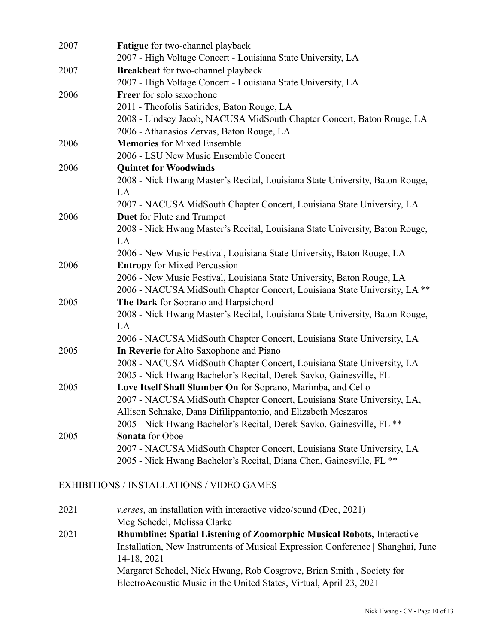| 2007 | <b>Fatigue</b> for two-channel playback                                      |
|------|------------------------------------------------------------------------------|
|      | 2007 - High Voltage Concert - Louisiana State University, LA                 |
| 2007 | Breakbeat for two-channel playback                                           |
|      | 2007 - High Voltage Concert - Louisiana State University, LA                 |
| 2006 | Freer for solo saxophone                                                     |
|      | 2011 - Theofolis Satirides, Baton Rouge, LA                                  |
|      | 2008 - Lindsey Jacob, NACUSA MidSouth Chapter Concert, Baton Rouge, LA       |
|      | 2006 - Athanasios Zervas, Baton Rouge, LA                                    |
| 2006 | <b>Memories</b> for Mixed Ensemble                                           |
|      | 2006 - LSU New Music Ensemble Concert                                        |
| 2006 | <b>Quintet for Woodwinds</b>                                                 |
|      | 2008 - Nick Hwang Master's Recital, Louisiana State University, Baton Rouge, |
|      | LA                                                                           |
|      | 2007 - NACUSA MidSouth Chapter Concert, Louisiana State University, LA       |
| 2006 | <b>Duet</b> for Flute and Trumpet                                            |
|      | 2008 - Nick Hwang Master's Recital, Louisiana State University, Baton Rouge, |
|      | LA                                                                           |
|      | 2006 - New Music Festival, Louisiana State University, Baton Rouge, LA       |
| 2006 | <b>Entropy</b> for Mixed Percussion                                          |
|      | 2006 - New Music Festival, Louisiana State University, Baton Rouge, LA       |
|      | 2006 - NACUSA MidSouth Chapter Concert, Louisiana State University, LA **    |
| 2005 | The Dark for Soprano and Harpsichord                                         |
|      | 2008 - Nick Hwang Master's Recital, Louisiana State University, Baton Rouge, |
|      | LA                                                                           |
|      | 2006 - NACUSA MidSouth Chapter Concert, Louisiana State University, LA       |
| 2005 | In Reverie for Alto Saxophone and Piano                                      |
|      | 2008 - NACUSA MidSouth Chapter Concert, Louisiana State University, LA       |
|      | 2005 - Nick Hwang Bachelor's Recital, Derek Savko, Gainesville, FL           |
| 2005 | Love Itself Shall Slumber On for Soprano, Marimba, and Cello                 |
|      | 2007 - NACUSA MidSouth Chapter Concert, Louisiana State University, LA,      |
|      | Allison Schnake, Dana Difilippantonio, and Elizabeth Meszaros                |
|      | 2005 - Nick Hwang Bachelor's Recital, Derek Savko, Gainesville, FL **        |
| 2005 | <b>Sonata</b> for Oboe                                                       |
|      | 2007 - NACUSA MidSouth Chapter Concert, Louisiana State University, LA       |
|      | 2005 - Nick Hwang Bachelor's Recital, Diana Chen, Gainesville, FL **         |

# EXHIBITIONS / INSTALLATIONS / VIDEO GAMES

| 2021 | <i>v.erses</i> , an installation with interactive video/sound (Dec, 2021)       |
|------|---------------------------------------------------------------------------------|
|      | Meg Schedel, Melissa Clarke                                                     |
| 2021 | <b>Rhumbline: Spatial Listening of Zoomorphic Musical Robots, Interactive</b>   |
|      | Installation, New Instruments of Musical Expression Conference   Shanghai, June |
|      | 14-18, 2021                                                                     |
|      | Margaret Schedel, Nick Hwang, Rob Cosgrove, Brian Smith, Society for            |
|      | ElectroAcoustic Music in the United States, Virtual, April 23, 2021             |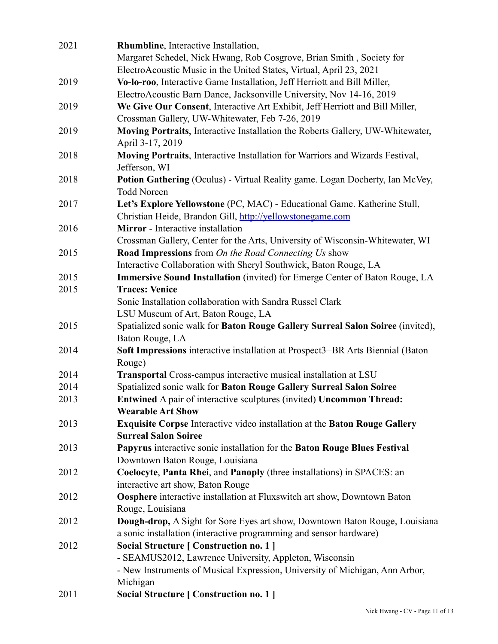| 2021 | <b>Rhumbline</b> , Interactive Installation,                                                                                                        |
|------|-----------------------------------------------------------------------------------------------------------------------------------------------------|
|      | Margaret Schedel, Nick Hwang, Rob Cosgrove, Brian Smith, Society for                                                                                |
|      | ElectroAcoustic Music in the United States, Virtual, April 23, 2021                                                                                 |
| 2019 | Vo-lo-roo, Interactive Game Installation, Jeff Herriott and Bill Miller,                                                                            |
|      | ElectroAcoustic Barn Dance, Jacksonville University, Nov 14-16, 2019                                                                                |
| 2019 | We Give Our Consent, Interactive Art Exhibit, Jeff Herriott and Bill Miller,                                                                        |
|      | Crossman Gallery, UW-Whitewater, Feb 7-26, 2019                                                                                                     |
| 2019 | Moving Portraits, Interactive Installation the Roberts Gallery, UW-Whitewater,<br>April 3-17, 2019                                                  |
| 2018 | Moving Portraits, Interactive Installation for Warriors and Wizards Festival,<br>Jefferson, WI                                                      |
| 2018 | <b>Potion Gathering (Oculus) - Virtual Reality game. Logan Docherty, Ian McVey,</b><br><b>Todd Noreen</b>                                           |
| 2017 | Let's Explore Yellowstone (PC, MAC) - Educational Game. Katherine Stull,<br>Christian Heide, Brandon Gill, http://yellowstonegame.com               |
| 2016 | Mirror - Interactive installation                                                                                                                   |
| 2015 | Crossman Gallery, Center for the Arts, University of Wisconsin-Whitewater, WI<br><b>Road Impressions</b> from <i>On the Road Connecting Us</i> show |
|      | Interactive Collaboration with Sheryl Southwick, Baton Rouge, LA                                                                                    |
| 2015 | <b>Immersive Sound Installation</b> (invited) for Emerge Center of Baton Rouge, LA                                                                  |
| 2015 | <b>Traces: Venice</b>                                                                                                                               |
|      | Sonic Installation collaboration with Sandra Russel Clark                                                                                           |
|      | LSU Museum of Art, Baton Rouge, LA                                                                                                                  |
| 2015 | Spatialized sonic walk for Baton Rouge Gallery Surreal Salon Soiree (invited),<br>Baton Rouge, LA                                                   |
| 2014 | Soft Impressions interactive installation at Prospect3+BR Arts Biennial (Baton<br>Rouge)                                                            |
| 2014 | Transportal Cross-campus interactive musical installation at LSU                                                                                    |
| 2014 | Spatialized sonic walk for Baton Rouge Gallery Surreal Salon Soiree                                                                                 |
| 2013 | <b>Entwined A pair of interactive sculptures (invited) Uncommon Thread:</b><br><b>Wearable Art Show</b>                                             |
| 2013 | Exquisite Corpse Interactive video installation at the Baton Rouge Gallery<br><b>Surreal Salon Soiree</b>                                           |
| 2013 | Papyrus interactive sonic installation for the Baton Rouge Blues Festival<br>Downtown Baton Rouge, Louisiana                                        |
| 2012 | Coelocyte, Panta Rhei, and Panoply (three installations) in SPACES: an<br>interactive art show, Baton Rouge                                         |
| 2012 | Oosphere interactive installation at Fluxswitch art show, Downtown Baton<br>Rouge, Louisiana                                                        |
| 2012 | Dough-drop, A Sight for Sore Eyes art show, Downtown Baton Rouge, Louisiana<br>a sonic installation (interactive programming and sensor hardware)   |
| 2012 | Social Structure [ Construction no. 1 ]                                                                                                             |
|      | - SEAMUS2012, Lawrence University, Appleton, Wisconsin                                                                                              |
|      | - New Instruments of Musical Expression, University of Michigan, Ann Arbor,<br>Michigan                                                             |
| 2011 | Social Structure [ Construction no. 1 ]                                                                                                             |
|      |                                                                                                                                                     |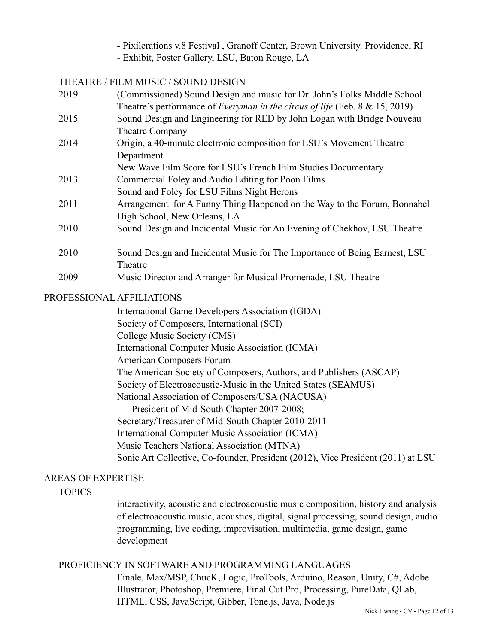- Pixilerations v.8 Festival , Granoff Center, Brown University. Providence, RI
- Exhibit, Foster Gallery, LSU, Baton Rouge, LA

#### THEATRE / FILM MUSIC / SOUND DESIGN

| 2019 | (Commissioned) Sound Design and music for Dr. John's Folks Middle School           |
|------|------------------------------------------------------------------------------------|
|      | Theatre's performance of <i>Everyman in the circus of life</i> (Feb. 8 & 15, 2019) |
| 2015 | Sound Design and Engineering for RED by John Logan with Bridge Nouveau             |
|      | Theatre Company                                                                    |
| 2014 | Origin, a 40-minute electronic composition for LSU's Movement Theatre              |
|      | Department                                                                         |
|      | New Wave Film Score for LSU's French Film Studies Documentary                      |
| 2013 | Commercial Foley and Audio Editing for Poon Films                                  |
|      | Sound and Foley for LSU Films Night Herons                                         |
| 2011 | Arrangement for A Funny Thing Happened on the Way to the Forum, Bonnabel           |
|      | High School, New Orleans, LA                                                       |
| 2010 | Sound Design and Incidental Music for An Evening of Chekhov, LSU Theatre           |
|      |                                                                                    |
| 2010 | Sound Design and Incidental Music for The Importance of Being Earnest, LSU         |
|      | Theatre                                                                            |
| 2009 | Music Director and Arranger for Musical Promenade, LSU Theatre                     |
|      |                                                                                    |

#### PROFESSIONAL AFFILIATIONS

International Game Developers Association (IGDA) Society of Composers, International (SCI) College Music Society (CMS) International Computer Music Association (ICMA) American Composers Forum The American Society of Composers, Authors, and Publishers (ASCAP) Society of Electroacoustic-Music in the United States (SEAMUS) National Association of Composers/USA (NACUSA) President of Mid-South Chapter 2007-2008; Secretary/Treasurer of Mid-South Chapter 2010-2011 International Computer Music Association (ICMA) Music Teachers National Association (MTNA) Sonic Art Collective, Co-founder, President (2012), Vice President (2011) at LSU

#### AREAS OF EXPERTISE

**TOPICS** 

interactivity, acoustic and electroacoustic music composition, history and analysis of electroacoustic music, acoustics, digital, signal processing, sound design, audio programming, live coding, improvisation, multimedia, game design, game development

## PROFICIENCY IN SOFTWARE AND PROGRAMMING LANGUAGES

Finale, Max/MSP, ChucK, Logic, ProTools, Arduino, Reason, Unity, C#, Adobe Illustrator, Photoshop, Premiere, Final Cut Pro, Processing, PureData, QLab, HTML, CSS, JavaScript, Gibber, Tone.js, Java, Node.js